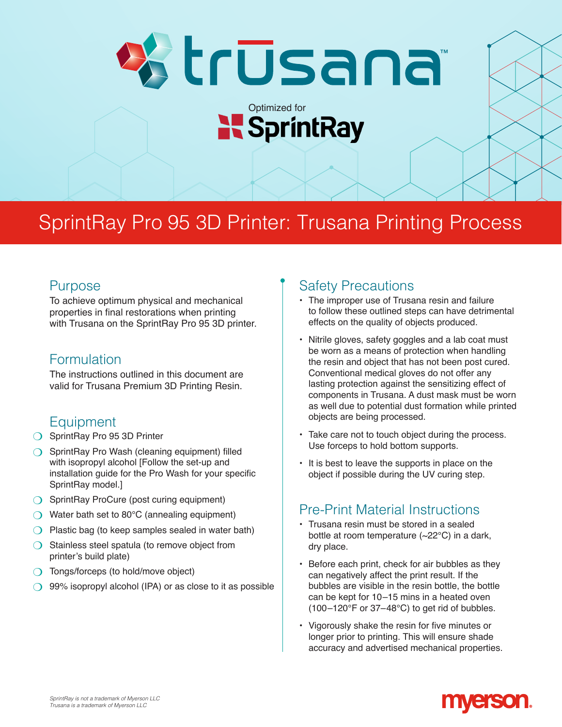

# SprintRay Pro 95 3D Printer: Trusana Printing Process

#### Purpose

To achieve optimum physical and mechanical properties in final restorations when printing with Trusana on the SprintRay Pro 95 3D printer.

#### Formulation

The instructions outlined in this document are valid for Trusana Premium 3D Printing Resin.

### Equipment

- ◯ SprintRay Pro 95 3D Printer
- $\bigcirc$  SprintRay Pro Wash (cleaning equipment) filled with isopropyl alcohol [Follow the set-up and installation guide for the Pro Wash for your specific SprintRay model.]
- **SprintRay ProCure (post curing equipment)**
- $\bigcirc$  Water bath set to 80 $^{\circ}$ C (annealing equipment)
- $\bigcirc$  Plastic bag (to keep samples sealed in water bath)
- $\bigcirc$  Stainless steel spatula (to remove object from printer's build plate)
- O Tongs/forceps (to hold/move object)
- $\bigcirc$  99% isopropyl alcohol (IPA) or as close to it as possible

### Safety Precautions

- The improper use of Trusana resin and failure to follow these outlined steps can have detrimental effects on the quality of objects produced.
- Nitrile gloves, safety goggles and a lab coat must be worn as a means of protection when handling the resin and object that has not been post cured. Conventional medical gloves do not offer any lasting protection against the sensitizing effect of components in Trusana. A dust mask must be worn as well due to potential dust formation while printed objects are being processed.
- Take care not to touch object during the process. Use forceps to hold bottom supports.
- It is best to leave the supports in place on the object if possible during the UV curing step.

## Pre-Print Material Instructions

- Trusana resin must be stored in a sealed bottle at room temperature (~22°C) in a dark, dry place.
- Before each print, check for air bubbles as they can negatively affect the print result. If the bubbles are visible in the resin bottle, the bottle can be kept for 10 –15 mins in a heated oven  $(100-120^{\circ}F \text{ or } 37-48^{\circ}C)$  to get rid of bubbles.
- Vigorously shake the resin for five minutes or longer prior to printing. This will ensure shade accuracy and advertised mechanical properties.